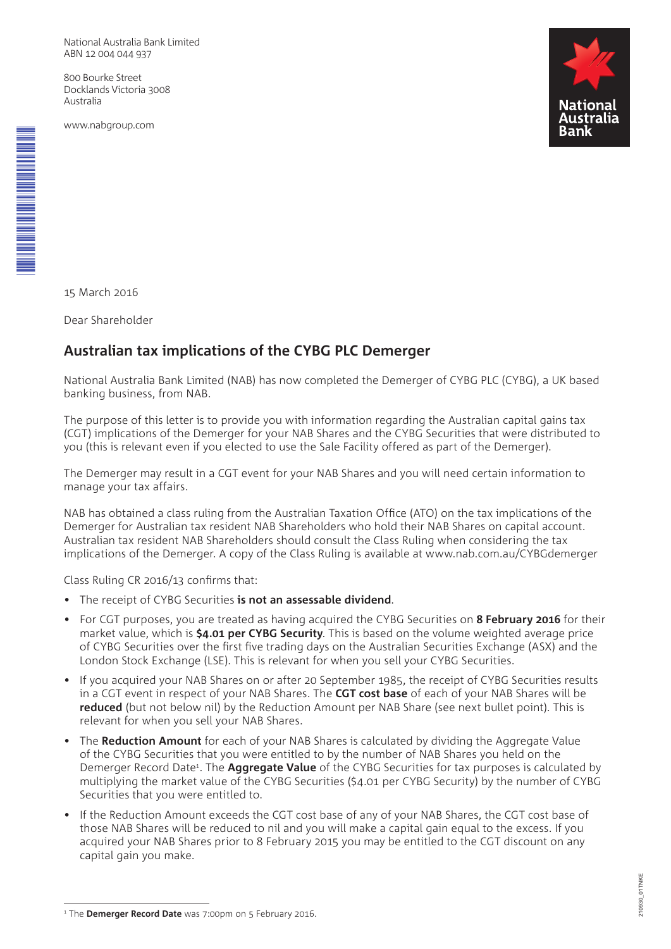National Australia Bank Limited ABN 12 004 044 937

800 Bourke Street Docklands Victoria 3008 Australia

www.nabgroup.com



15 March 2016

\* M00001456<br>\* M0001456<br>\* M0001456

Dear Shareholder

# **Australian tax implications of the CYBG PLC Demerger**

National Australia Bank Limited (NAB) has now completed the Demerger of CYBG PLC (CYBG), a UK based banking business, from NAB.

The purpose of this letter is to provide you with information regarding the Australian capital gains tax (CGT) implications of the Demerger for your NAB Shares and the CYBG Securities that were distributed to you (this is relevant even if you elected to use the Sale Facility offered as part of the Demerger).

The Demerger may result in a CGT event for your NAB Shares and you will need certain information to manage your tax affairs.

NAB has obtained a class ruling from the Australian Taxation Office (ATO) on the tax implications of the Demerger for Australian tax resident NAB Shareholders who hold their NAB Shares on capital account. Australian tax resident NAB Shareholders should consult the Class Ruling when considering the tax implications of the Demerger. A copy of the Class Ruling is available at www.nab.com.au/CYBGdemerger

Class Ruling CR 2016/13 confirms that:

- The receipt of CYBG Securities **is not an assessable dividend**.
- For CGT purposes, you are treated as having acquired the CYBG Securities on **8 February 2016** for their market value, which is **\$4.01 per CYBG Security**. This is based on the volume weighted average price of CYBG Securities over the first five trading days on the Australian Securities Exchange (ASX) and the London Stock Exchange (LSE). This is relevant for when you sell your CYBG Securities.
- If you acquired your NAB Shares on or after 20 September 1985, the receipt of CYBG Securities results in a CGT event in respect of your NAB Shares. The **CGT cost base** of each of your NAB Shares will be **reduced** (but not below nil) by the Reduction Amount per NAB Share (see next bullet point). This is relevant for when you sell your NAB Shares.
- The **Reduction Amount** for each of your NAB Shares is calculated by dividing the Aggregate Value of the CYBG Securities that you were entitled to by the number of NAB Shares you held on the Demerger Record Date<sup>1</sup>. The **Aggregate Value** of the CYBG Securities for tax purposes is calculated by multiplying the market value of the CYBG Securities (\$4.01 per CYBG Security) by the number of CYBG Securities that you were entitled to.
- If the Reduction Amount exceeds the CGT cost base of any of your NAB Shares, the CGT cost base of those NAB Shares will be reduced to nil and you will make a capital gain equal to the excess. If you acquired your NAB Shares prior to 8 February 2015 you may be entitled to the CGT discount on any capital gain you make.

<sup>&</sup>lt;sup>1</sup> The Demerger Record Date was 7:00pm on 5 February 2016.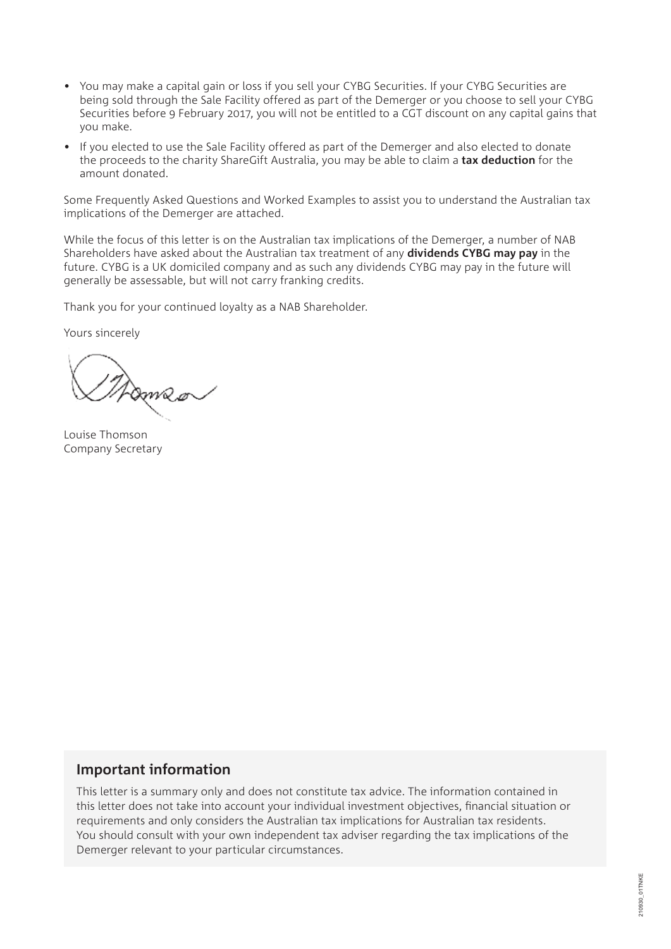- You may make a capital gain or loss if you sell your CYBG Securities. If your CYBG Securities are being sold through the Sale Facility offered as part of the Demerger or you choose to sell your CYBG Securities before 9 February 2017, you will not be entitled to a CGT discount on any capital gains that you make.
- If you elected to use the Sale Facility offered as part of the Demerger and also elected to donate the proceeds to the charity ShareGift Australia, you may be able to claim a **tax deduction** for the amount donated.

Some Frequently Asked Questions and Worked Examples to assist you to understand the Australian tax implications of the Demerger are attached.

While the focus of this letter is on the Australian tax implications of the Demerger, a number of NAB Shareholders have asked about the Australian tax treatment of any **dividends CYBG may pay** in the future. CYBG is a UK domiciled company and as such any dividends CYBG may pay in the future will generally be assessable, but will not carry franking credits.

Thank you for your continued loyalty as a NAB Shareholder.

Yours sincerely

Pameo

Louise Thomson Company Secretary

# **Important information**

This letter is a summary only and does not constitute tax advice. The information contained in this letter does not take into account your individual investment objectives, financial situation or requirements and only considers the Australian tax implications for Australian tax residents. You should consult with your own independent tax adviser regarding the tax implications of the Demerger relevant to your particular circumstances.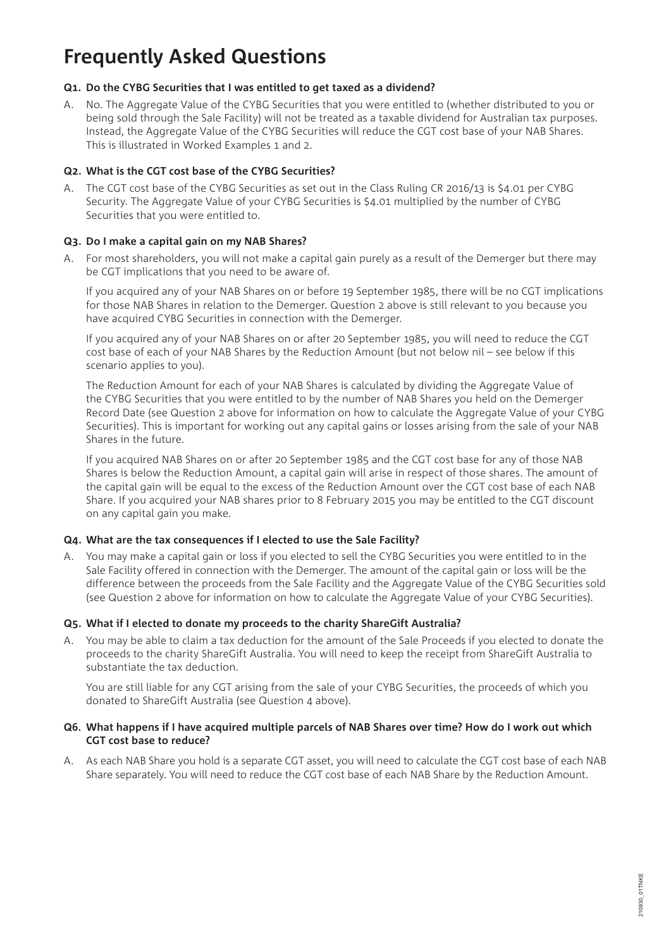# **Frequently Asked Questions**

### **Q1. Do the CYBG Securities that I was entitled to get taxed as a dividend?**

A. No. The Aggregate Value of the CYBG Securities that you were entitled to (whether distributed to you or being sold through the Sale Facility) will not be treated as a taxable dividend for Australian tax purposes. Instead, the Aggregate Value of the CYBG Securities will reduce the CGT cost base of your NAB Shares. This is illustrated in Worked Examples 1 and 2.

### **Q2. What is the CGT cost base of the CYBG Securities?**

A. The CGT cost base of the CYBG Securities as set out in the Class Ruling CR 2016/13 is \$4.01 per CYBG Security. The Aggregate Value of your CYBG Securities is \$4.01 multiplied by the number of CYBG Securities that you were entitled to.

### **Q3. Do I make a capital gain on my NAB Shares?**

A. For most shareholders, you will not make a capital gain purely as a result of the Demerger but there may be CGT implications that you need to be aware of.

If you acquired any of your NAB Shares on or before 19 September 1985, there will be no CGT implications for those NAB Shares in relation to the Demerger. Question 2 above is still relevant to you because you have acquired CYBG Securities in connection with the Demerger.

If you acquired any of your NAB Shares on or after 20 September 1985, you will need to reduce the CGT cost base of each of your NAB Shares by the Reduction Amount (but not below nil – see below if this scenario applies to you).

The Reduction Amount for each of your NAB Shares is calculated by dividing the Aggregate Value of the CYBG Securities that you were entitled to by the number of NAB Shares you held on the Demerger Record Date (see Question 2 above for information on how to calculate the Aggregate Value of your CYBG Securities). This is important for working out any capital gains or losses arising from the sale of your NAB Shares in the future.

If you acquired NAB Shares on or after 20 September 1985 and the CGT cost base for any of those NAB Shares is below the Reduction Amount, a capital gain will arise in respect of those shares. The amount of the capital gain will be equal to the excess of the Reduction Amount over the CGT cost base of each NAB Share. If you acquired your NAB shares prior to 8 February 2015 you may be entitled to the CGT discount on any capital gain you make.

### **Q4. What are the tax consequences if I elected to use the Sale Facility?**

A. You may make a capital gain or loss if you elected to sell the CYBG Securities you were entitled to in the Sale Facility offered in connection with the Demerger. The amount of the capital gain or loss will be the difference between the proceeds from the Sale Facility and the Aggregate Value of the CYBG Securities sold (see Question 2 above for information on how to calculate the Aggregate Value of your CYBG Securities).

### **Q5. What if I elected to donate my proceeds to the charity ShareGift Australia?**

A. You may be able to claim a tax deduction for the amount of the Sale Proceeds if you elected to donate the proceeds to the charity ShareGift Australia. You will need to keep the receipt from ShareGift Australia to substantiate the tax deduction.

You are still liable for any CGT arising from the sale of your CYBG Securities, the proceeds of which you donated to ShareGift Australia (see Question 4 above).

### **Q6. What happens if I have acquired multiple parcels of NAB Shares over time? How do I work out which CGT cost base to reduce?**

A. As each NAB Share you hold is a separate CGT asset, you will need to calculate the CGT cost base of each NAB Share separately. You will need to reduce the CGT cost base of each NAB Share by the Reduction Amount.